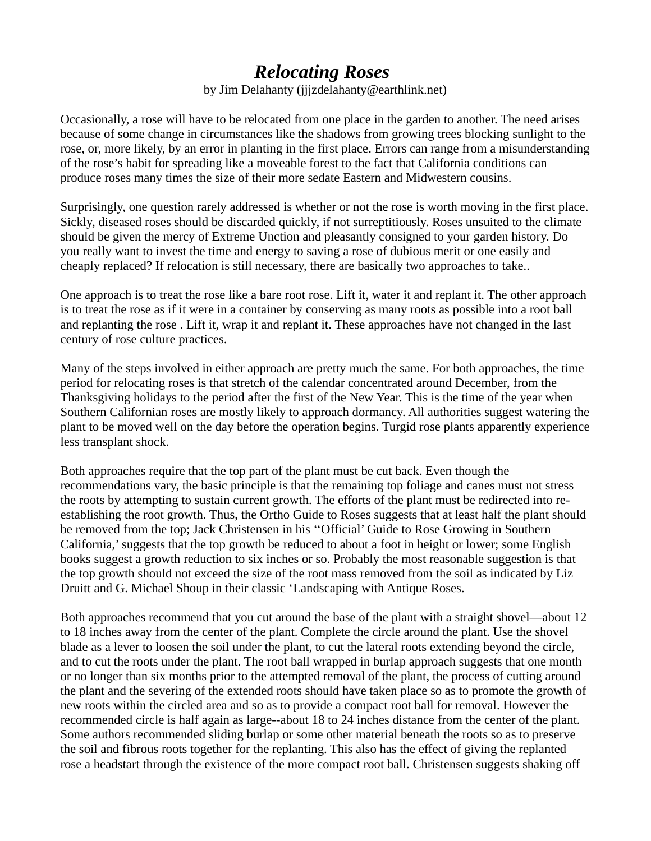## *Relocating Roses*

by Jim Delahanty (jjjzdelahanty@earthlink.net)

Occasionally, a rose will have to be relocated from one place in the garden to another. The need arises because of some change in circumstances like the shadows from growing trees blocking sunlight to the rose, or, more likely, by an error in planting in the first place. Errors can range from a misunderstanding of the rose's habit for spreading like a moveable forest to the fact that California conditions can produce roses many times the size of their more sedate Eastern and Midwestern cousins.

Surprisingly, one question rarely addressed is whether or not the rose is worth moving in the first place. Sickly, diseased roses should be discarded quickly, if not surreptitiously. Roses unsuited to the climate should be given the mercy of Extreme Unction and pleasantly consigned to your garden history. Do you really want to invest the time and energy to saving a rose of dubious merit or one easily and cheaply replaced? If relocation is still necessary, there are basically two approaches to take..

One approach is to treat the rose like a bare root rose. Lift it, water it and replant it. The other approach is to treat the rose as if it were in a container by conserving as many roots as possible into a root ball and replanting the rose . Lift it, wrap it and replant it. These approaches have not changed in the last century of rose culture practices.

Many of the steps involved in either approach are pretty much the same. For both approaches, the time period for relocating roses is that stretch of the calendar concentrated around December, from the Thanksgiving holidays to the period after the first of the New Year. This is the time of the year when Southern Californian roses are mostly likely to approach dormancy. All authorities suggest watering the plant to be moved well on the day before the operation begins. Turgid rose plants apparently experience less transplant shock.

Both approaches require that the top part of the plant must be cut back. Even though the recommendations vary, the basic principle is that the remaining top foliage and canes must not stress the roots by attempting to sustain current growth. The efforts of the plant must be redirected into reestablishing the root growth. Thus, the Ortho Guide to Roses suggests that at least half the plant should be removed from the top; Jack Christensen in his ''Official' Guide to Rose Growing in Southern California,' suggests that the top growth be reduced to about a foot in height or lower; some English books suggest a growth reduction to six inches or so. Probably the most reasonable suggestion is that the top growth should not exceed the size of the root mass removed from the soil as indicated by Liz Druitt and G. Michael Shoup in their classic 'Landscaping with Antique Roses.

Both approaches recommend that you cut around the base of the plant with a straight shovel—about 12 to 18 inches away from the center of the plant. Complete the circle around the plant. Use the shovel blade as a lever to loosen the soil under the plant, to cut the lateral roots extending beyond the circle, and to cut the roots under the plant. The root ball wrapped in burlap approach suggests that one month or no longer than six months prior to the attempted removal of the plant, the process of cutting around the plant and the severing of the extended roots should have taken place so as to promote the growth of new roots within the circled area and so as to provide a compact root ball for removal. However the recommended circle is half again as large--about 18 to 24 inches distance from the center of the plant. Some authors recommended sliding burlap or some other material beneath the roots so as to preserve the soil and fibrous roots together for the replanting. This also has the effect of giving the replanted rose a headstart through the existence of the more compact root ball. Christensen suggests shaking off